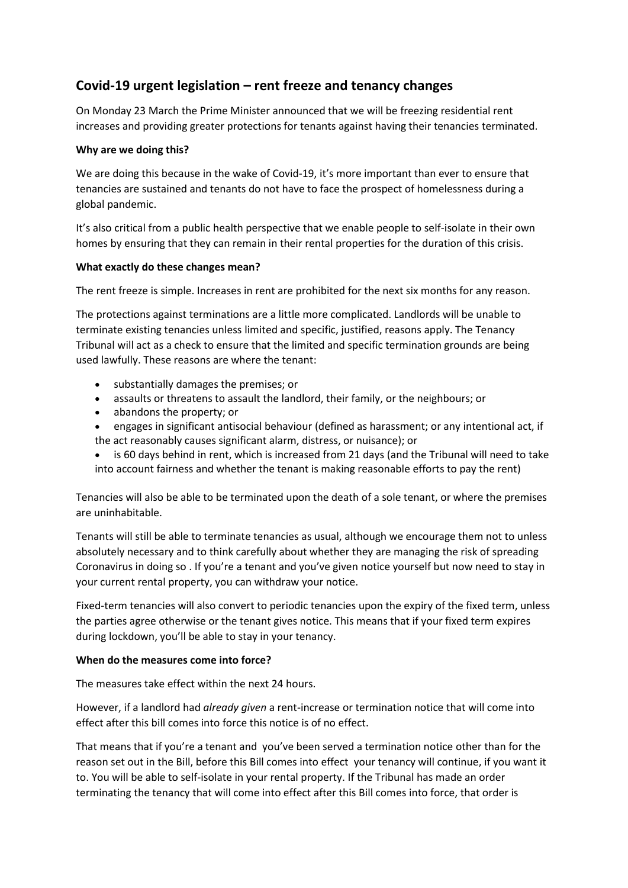# **Covid-19 urgent legislation – rent freeze and tenancy changes**

On Monday 23 March the Prime Minister announced that we will be freezing residential rent increases and providing greater protections for tenants against having their tenancies terminated.

# **Why are we doing this?**

We are doing this because in the wake of Covid-19, it's more important than ever to ensure that tenancies are sustained and tenants do not have to face the prospect of homelessness during a global pandemic.

It's also critical from a public health perspective that we enable people to self-isolate in their own homes by ensuring that they can remain in their rental properties for the duration of this crisis.

## **What exactly do these changes mean?**

The rent freeze is simple. Increases in rent are prohibited for the next six months for any reason.

The protections against terminations are a little more complicated. Landlords will be unable to terminate existing tenancies unless limited and specific, justified, reasons apply. The Tenancy Tribunal will act as a check to ensure that the limited and specific termination grounds are being used lawfully. These reasons are where the tenant:

- substantially damages the premises; or
- assaults or threatens to assault the landlord, their family, or the neighbours; or
- abandons the property; or
- engages in significant antisocial behaviour (defined as harassment; or any intentional act, if the act reasonably causes significant alarm, distress, or nuisance); or
- is 60 days behind in rent, which is increased from 21 days (and the Tribunal will need to take into account fairness and whether the tenant is making reasonable efforts to pay the rent)

Tenancies will also be able to be terminated upon the death of a sole tenant, or where the premises are uninhabitable.

Tenants will still be able to terminate tenancies as usual, although we encourage them not to unless absolutely necessary and to think carefully about whether they are managing the risk of spreading Coronavirus in doing so . If you're a tenant and you've given notice yourself but now need to stay in your current rental property, you can withdraw your notice.

Fixed-term tenancies will also convert to periodic tenancies upon the expiry of the fixed term, unless the parties agree otherwise or the tenant gives notice. This means that if your fixed term expires during lockdown, you'll be able to stay in your tenancy.

#### **When do the measures come into force?**

The measures take effect within the next 24 hours.

However, if a landlord had *already given* a rent-increase or termination notice that will come into effect after this bill comes into force this notice is of no effect.

That means that if you're a tenant and you've been served a termination notice other than for the reason set out in the Bill, before this Bill comes into effect your tenancy will continue, if you want it to. You will be able to self-isolate in your rental property. If the Tribunal has made an order terminating the tenancy that will come into effect after this Bill comes into force, that order is